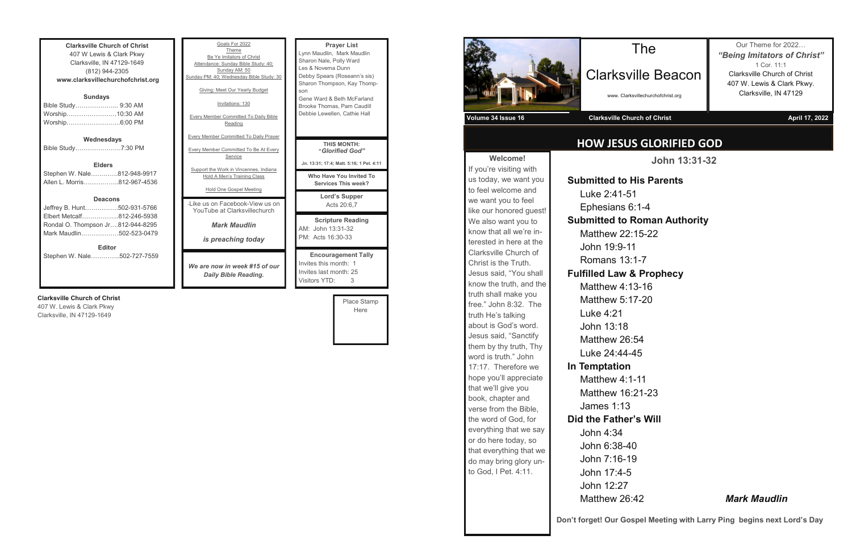**Clarksville Church of Christ** 407 W Lewis & Clark Pkwy Clarksville, IN 47129-1649 (812) 944-2305 **www.clarksvillechurchofchrist.org Sundays** Bible Study………………... 9:30 AM Worship……………………10:30 AM Worship……………………..6:00 PM **Wednesdays** Bible Study………………….7:30 PM **Elders** Stephen W. Nale………….812-948-9917 Allen L. Morris……………..812-967-4536

### **Deacons**

| <b>Editor</b>                     |  |
|-----------------------------------|--|
| Mark Maudlin502-523-0479          |  |
| Rondal O. Thompson Jr812-944-8295 |  |
| Elbert Metcalf812-246-5938        |  |
| Jeffrey B. Hunt502-931-5766       |  |

Stephen W. Nale…………..502-727-7559

### **Clarksville Church of Christ**

407 W. Lewis & Clark Pkwy Clarksville, IN 47129-1649

| Goals For 2022<br>Theme<br>Be Ye Imitators of Christ<br>Attendance: Sunday Bible Study: 40:<br>Sunday AM: 50<br>Sunday PM: 40; Wednesday Bible Study: 30<br>Giving: Meet Our Yearly Budget<br>Invitations: 130<br><b>Every Member Committed To Daily Bible</b><br>Reading | <b>Prayer List</b><br>Lynn Maudlin, Mark Maudlin<br>Sharon Nale, Polly Ward<br>Les & Novema Dunn<br>Debby Spears (Roseann's sis)<br>Sharon Thompson, Kay Thomp-<br>son<br>Gene Ward & Beth McFarland<br>Brooke Thomas, Pam Caudill<br>Debbie Lewellen, Cathie Hall |
|---------------------------------------------------------------------------------------------------------------------------------------------------------------------------------------------------------------------------------------------------------------------------|--------------------------------------------------------------------------------------------------------------------------------------------------------------------------------------------------------------------------------------------------------------------|
| <b>Every Member Committed To Daily Prayer</b><br><b>Every Member Committed To Be At Every</b><br>Service<br>Support the Work in Vincennes, Indiana<br>Hold A Men's Training Class                                                                                         | <b>THIS MONTH:</b><br>"Glorified God"<br>Jn. 13:31; 17:4; Matt. 5:16; 1 Pet. 4:11<br>Who Have You Invited To<br><b>Services This week?</b>                                                                                                                         |
| Hold One Gospel Meeting<br>-Like us on Facebook-View us on<br>YouTube at Clarksvillechurch                                                                                                                                                                                | Lord's Supper<br>Acts 20:6,7                                                                                                                                                                                                                                       |
| <b>Mark Maudlin</b><br><i>is preaching today</i>                                                                                                                                                                                                                          | <b>Scripture Reading</b><br>AM: John 13:31-32<br>PM: Acts 16:30-33                                                                                                                                                                                                 |
| We are now in week #15 of our<br>Daily Bible Reading.                                                                                                                                                                                                                     | <b>Encouragement Tally</b><br>Invites this month: 1<br>Invites last month: 25<br>Visitors YTD:<br>3                                                                                                                                                                |

Place Stamp Here

**Welcome!** If you're visiting with us today, we want you to feel welcome and we want you to feel like our honored guest! We also want you to know that all we're interested in here at the Clarksville Church of Christ is the Truth. Jesus said, "You shall know the truth, and the truth shall make you free." John 8:32. The truth He's talking about is God's word. Jesus said, "Sanctify them by thy truth, Thy word is truth." John 17:17. Therefore we hope you'll appreciate that we'll give you book, chapter and verse from the Bible, the word of God, for everything that we say or do here today, so that everything that we do may bring glory un-**Volume 34 Issue 16 Clarksville Church of Christ April 17, 2022**

## **HOW JESUS GLORIFIED GOD**

The

Clarksville Beacon

www. Clarksvillechurchofchrist.org

Our Theme for 2022… *"Being Imitators of Christ"* 1 Cor. 11:1 Clarksville Church of Christ 407 W. Lewis & Clark Pkwy. Clarksville, IN 47129

**John 13:31-32**

to God, I Pet. 4:11. John 4:34 John 6:38-40 John 7:16-19 John 17:4-5 John 12:27

**Submitted to His Parents** Luke 2:41-51 Ephesians 6:1-4 **Submitted to Roman Authority** Matthew 22:15-22 John 19:9-11 Romans 13:1-7 **Fulfilled Law & Prophecy** Matthew 4:13-16 Matthew 5:17-20 Luke 4:21 John 13:18 Matthew 26:54 Luke 24:44-45 **In Temptation** Matthew 4:1-11

Matthew 16:21-23 James 1:13 **Did the Father's Will**

### Matthew 26:42 *Mark Maudlin*

**Don't forget! Our Gospel Meeting with Larry Ping begins next Lord's Day**